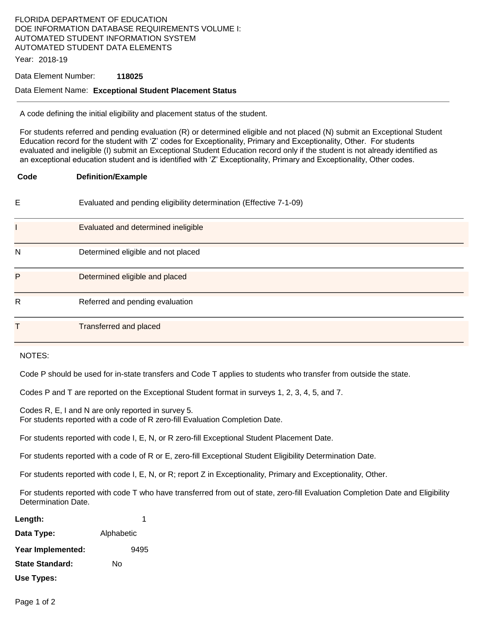# FLORIDA DEPARTMENT OF EDUCATION DOE INFORMATION DATABASE REQUIREMENTS VOLUME I: AUTOMATED STUDENT INFORMATION SYSTEM AUTOMATED STUDENT DATA ELEMENTS

Year: 2018-19

### Data Element Number: **118025**

#### Data Element Name: **Exceptional Student Placement Status**

A code defining the initial eligibility and placement status of the student.

For students referred and pending evaluation (R) or determined eligible and not placed (N) submit an Exceptional Student Education record for the student with 'Z' codes for Exceptionality, Primary and Exceptionality, Other. For students evaluated and ineligible (I) submit an Exceptional Student Education record only if the student is not already identified as an exceptional education student and is identified with 'Z' Exceptionality, Primary and Exceptionality, Other codes.

| Code         | <b>Definition/Example</b>                                          |
|--------------|--------------------------------------------------------------------|
| E            | Evaluated and pending eligibility determination (Effective 7-1-09) |
|              | Evaluated and determined ineligible                                |
| N            | Determined eligible and not placed                                 |
| P            | Determined eligible and placed                                     |
| $\mathsf{R}$ | Referred and pending evaluation                                    |
| Т            | <b>Transferred and placed</b>                                      |

### NOTES:

Code P should be used for in-state transfers and Code T applies to students who transfer from outside the state.

Codes P and T are reported on the Exceptional Student format in surveys 1, 2, 3, 4, 5, and 7.

Codes R, E, I and N are only reported in survey 5. For students reported with a code of R zero-fill Evaluation Completion Date.

For students reported with code I, E, N, or R zero-fill Exceptional Student Placement Date.

For students reported with a code of R or E, zero-fill Exceptional Student Eligibility Determination Date.

For students reported with code I, E, N, or R; report Z in Exceptionality, Primary and Exceptionality, Other.

For students reported with code T who have transferred from out of state, zero-fill Evaluation Completion Date and Eligibility Determination Date.

| Length:           |            | 1    |
|-------------------|------------|------|
| Data Type:        | Alphabetic |      |
| Year Implemented: |            | 9495 |
| State Standard:   | N٥         |      |
| Use Types:        |            |      |